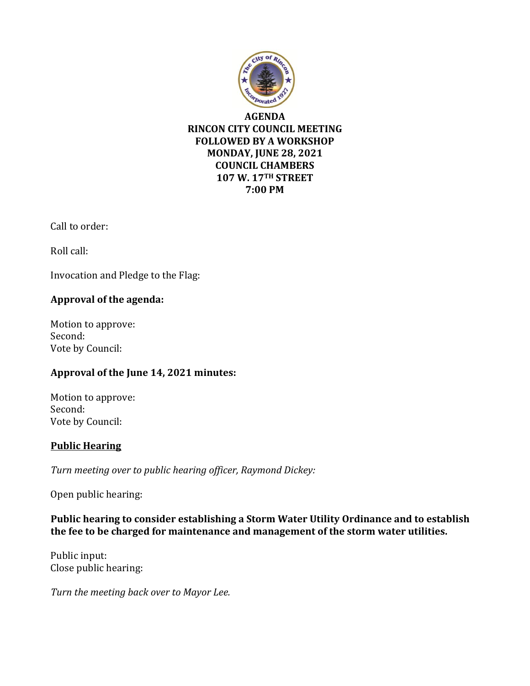

**AGENDA RINCON CITY COUNCIL MEETING FOLLOWED BY A WORKSHOP MONDAY, JUNE 28, 2021 COUNCIL CHAMBERS 107 W. 17TH STREET 7:00 PM**

Call to order:

Roll call:

Invocation and Pledge to the Flag:

# **Approval of the agenda:**

Motion to approve: Second: Vote by Council:

### **Approval of the June 14, 2021 minutes:**

Motion to approve: Second: Vote by Council:

### **Public Hearing**

*Turn meeting over to public hearing officer, Raymond Dickey:*

Open public hearing:

**Public hearing to consider establishing a Storm Water Utility Ordinance and to establish the fee to be charged for maintenance and management of the storm water utilities.**

Public input: Close public hearing:

*Turn the meeting back over to Mayor Lee.*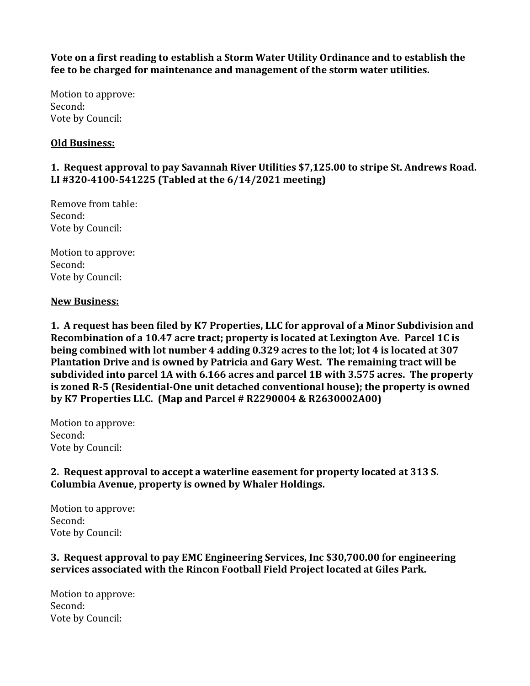**Vote on a first reading to establish a Storm Water Utility Ordinance and to establish the fee to be charged for maintenance and management of the storm water utilities.**

Motion to approve: Second: Vote by Council:

### **Old Business:**

# **1. Request approval to pay Savannah River Utilities \$7,125.00 to stripe St. Andrews Road. LI #320-4100-541225 (Tabled at the 6/14/2021 meeting)**

Remove from table: Second: Vote by Council:

Motion to approve: Second: Vote by Council:

#### **New Business:**

**1. A request has been filed by K7 Properties, LLC for approval of a Minor Subdivision and Recombination of a 10.47 acre tract; property is located at Lexington Ave. Parcel 1C is being combined with lot number 4 adding 0.329 acres to the lot; lot 4 is located at 307 Plantation Drive and is owned by Patricia and Gary West. The remaining tract will be subdivided into parcel 1A with 6.166 acres and parcel 1B with 3.575 acres. The property is zoned R-5 (Residential-One unit detached conventional house); the property is owned by K7 Properties LLC. (Map and Parcel # R2290004 & R2630002A00)**

Motion to approve: Second: Vote by Council:

**2. Request approval to accept a waterline easement for property located at 313 S. Columbia Avenue, property is owned by Whaler Holdings.**

Motion to approve: Second: Vote by Council:

### **3. Request approval to pay EMC Engineering Services, Inc \$30,700.00 for engineering services associated with the Rincon Football Field Project located at Giles Park.**

Motion to approve: Second: Vote by Council: